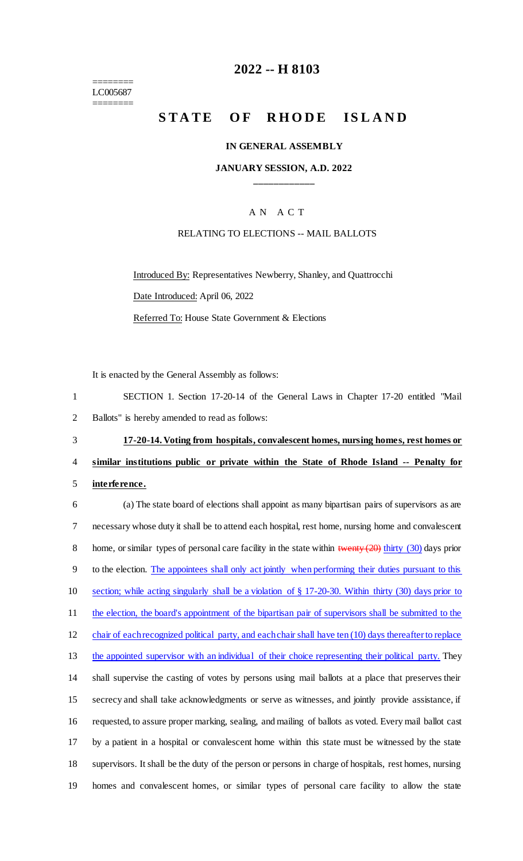======== LC005687 ========

# **2022 -- H 8103**

# **STATE OF RHODE ISLAND**

#### **IN GENERAL ASSEMBLY**

#### **JANUARY SESSION, A.D. 2022 \_\_\_\_\_\_\_\_\_\_\_\_**

# A N A C T

#### RELATING TO ELECTIONS -- MAIL BALLOTS

Introduced By: Representatives Newberry, Shanley, and Quattrocchi Date Introduced: April 06, 2022 Referred To: House State Government & Elections

It is enacted by the General Assembly as follows:

| SECTION 1. Section 17-20-14 of the General Laws in Chapter 17-20 entitled "Mail |  |
|---------------------------------------------------------------------------------|--|
| Ballots" is hereby amended to read as follows:                                  |  |

# 3 **17-20-14. Voting from hospitals, convalescent homes, nursing homes, rest homes or**  4 **similar institutions public or private within the State of Rhode Island -- Penalty for**

5 **interference.**

 (a) The state board of elections shall appoint as many bipartisan pairs of supervisors as are necessary whose duty it shall be to attend each hospital, rest home, nursing home and convalescent 8 home, or similar types of personal care facility in the state within twenty (20) thirty (30) days prior to the election. The appointees shall only act jointly when performing their duties pursuant to this section; while acting singularly shall be a violation of § 17-20-30. Within thirty (30) days prior to 11 the election, the board's appointment of the bipartisan pair of supervisors shall be submitted to the 12 chair of each recognized political party, and each chair shall have ten (10) days thereafter to replace 13 the appointed supervisor with an individual of their choice representing their political party. They shall supervise the casting of votes by persons using mail ballots at a place that preserves their secrecy and shall take acknowledgments or serve as witnesses, and jointly provide assistance, if requested, to assure proper marking, sealing, and mailing of ballots as voted. Every mail ballot cast by a patient in a hospital or convalescent home within this state must be witnessed by the state supervisors. It shall be the duty of the person or persons in charge of hospitals, rest homes, nursing homes and convalescent homes, or similar types of personal care facility to allow the state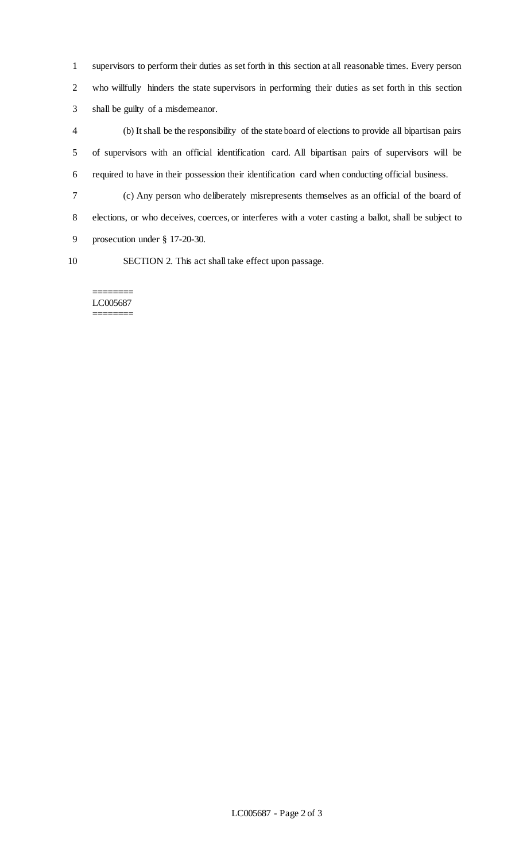supervisors to perform their duties as set forth in this section at all reasonable times. Every person who willfully hinders the state supervisors in performing their duties as set forth in this section shall be guilty of a misdemeanor.

 (b) It shall be the responsibility of the state board of elections to provide all bipartisan pairs of supervisors with an official identification card. All bipartisan pairs of supervisors will be required to have in their possession their identification card when conducting official business.

 (c) Any person who deliberately misrepresents themselves as an official of the board of elections, or who deceives, coerces, or interferes with a voter casting a ballot, shall be subject to prosecution under § 17-20-30.

SECTION 2. This act shall take effect upon passage.

#### ======== LC005687 ========